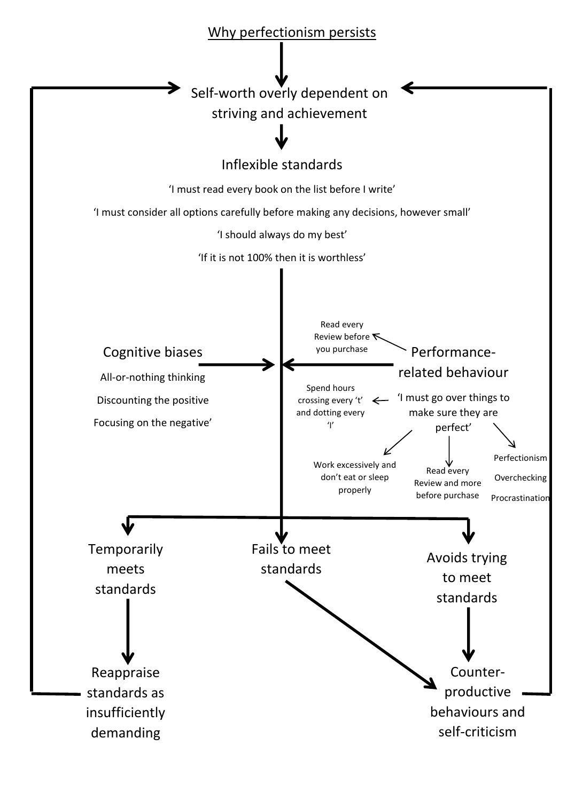